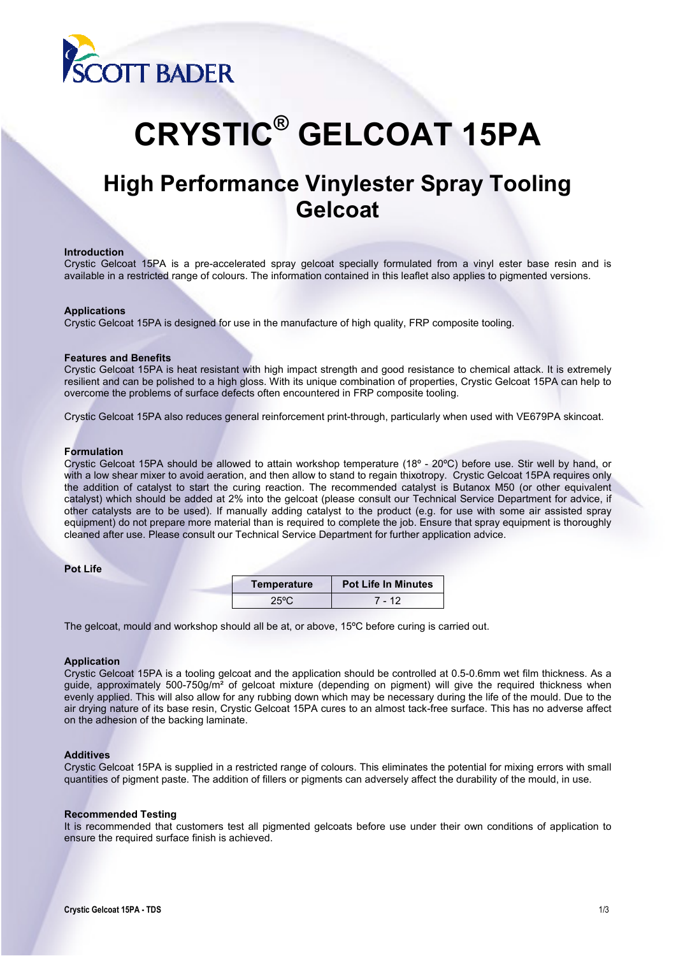

# **CRYSTIC® GELCOAT 15PA**

# **High Performance Vinylester Spray Tooling Gelcoat**

#### **Introduction**

Crystic Gelcoat 15PA is a pre-accelerated spray gelcoat specially formulated from a vinyl ester base resin and is available in a restricted range of colours. The information contained in this leaflet also applies to pigmented versions.

## **Applications**

Crystic Gelcoat 15PA is designed for use in the manufacture of high quality, FRP composite tooling.

#### **Features and Benefits**

Crystic Gelcoat 15PA is heat resistant with high impact strength and good resistance to chemical attack. It is extremely resilient and can be polished to a high gloss. With its unique combination of properties, Crystic Gelcoat 15PA can help to overcome the problems of surface defects often encountered in FRP composite tooling.

Crystic Gelcoat 15PA also reduces general reinforcement print-through, particularly when used with VE679PA skincoat.

## **Formulation**

Crystic Gelcoat 15PA should be allowed to attain workshop temperature (18º - 20ºC) before use. Stir well by hand, or with a low shear mixer to avoid aeration, and then allow to stand to regain thixotropy. Crystic Gelcoat 15PA requires only the addition of catalyst to start the curing reaction. The recommended catalyst is Butanox M50 (or other equivalent catalyst) which should be added at 2% into the gelcoat (please consult our Technical Service Department for advice, if other catalysts are to be used). If manually adding catalyst to the product (e.g. for use with some air assisted spray equipment) do not prepare more material than is required to complete the job. Ensure that spray equipment is thoroughly cleaned after use. Please consult our Technical Service Department for further application advice.

#### **Pot Life**

| Temperature | <b>Pot Life In Minutes</b> |  |
|-------------|----------------------------|--|
| .1501       | - 12                       |  |

The gelcoat, mould and workshop should all be at, or above, 15ºC before curing is carried out.

#### **Application**

Crystic Gelcoat 15PA is a tooling gelcoat and the application should be controlled at 0.5-0.6mm wet film thickness. As a guide, approximately 500-750g/m² of gelcoat mixture (depending on pigment) will give the required thickness when evenly applied. This will also allow for any rubbing down which may be necessary during the life of the mould. Due to the air drying nature of its base resin, Crystic Gelcoat 15PA cures to an almost tack-free surface. This has no adverse affect on the adhesion of the backing laminate.

#### **Additives**

Crystic Gelcoat 15PA is supplied in a restricted range of colours. This eliminates the potential for mixing errors with small quantities of pigment paste. The addition of fillers or pigments can adversely affect the durability of the mould, in use.

#### **Recommended Testing**

It is recommended that customers test all pigmented gelcoats before use under their own conditions of application to ensure the required surface finish is achieved.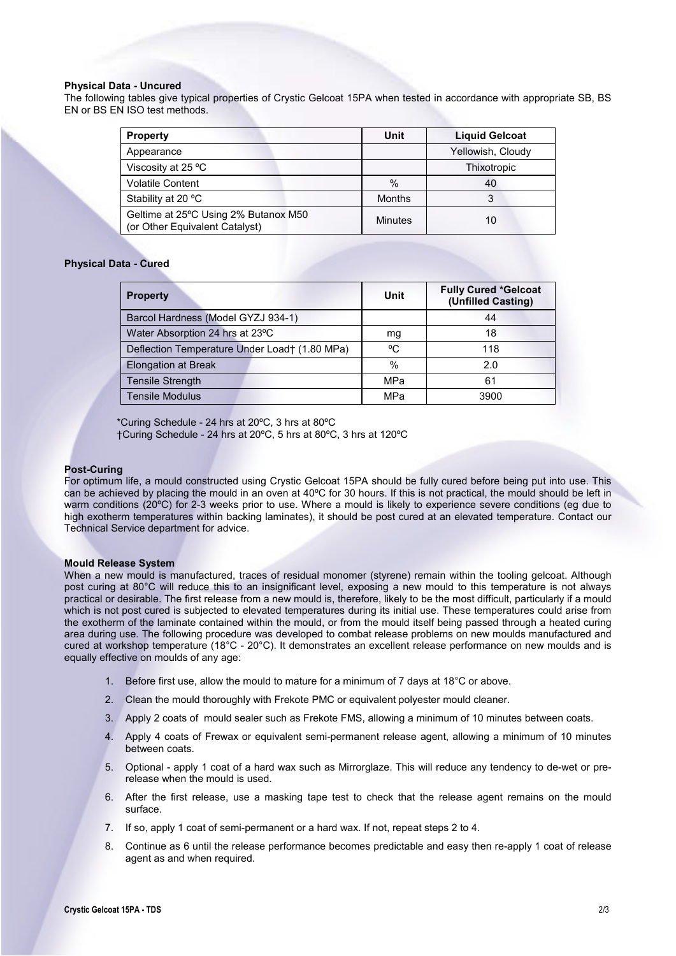# **Physical Data - Uncured**

The following tables give typical properties of Crystic Gelcoat 15PA when tested in accordance with appropriate SB, BS EN or BS EN ISO test methods.

| <b>Property</b>                                                        | Unit           | <b>Liquid Gelcoat</b> |
|------------------------------------------------------------------------|----------------|-----------------------|
| Appearance                                                             |                | Yellowish, Cloudy     |
| Viscosity at 25 °C                                                     |                | Thixotropic           |
| <b>Volatile Content</b>                                                | $\%$           | 40                    |
| Stability at 20 °C                                                     | <b>Months</b>  | 3                     |
| Geltime at 25°C Using 2% Butanox M50<br>(or Other Equivalent Catalyst) | <b>Minutes</b> | 10                    |

# **Physical Data - Cured**

| <b>Property</b>                               | Unit | <b>Fully Cured *Gelcoat</b><br>(Unfilled Casting) |
|-----------------------------------------------|------|---------------------------------------------------|
| Barcol Hardness (Model GYZJ 934-1)            |      | 44                                                |
| Water Absorption 24 hrs at 23°C               | mg   | 18                                                |
| Deflection Temperature Under Load† (1.80 MPa) | °C   | 118                                               |
| <b>Elongation at Break</b>                    | $\%$ | 2.0                                               |
| <b>Tensile Strength</b>                       | MPa  | 61                                                |
| Tensile Modulus                               | MPa  | 3900                                              |

\*Curing Schedule - 24 hrs at 20ºC, 3 hrs at 80ºC †Curing Schedule - 24 hrs at 20ºC, 5 hrs at 80ºC, 3 hrs at 120ºC

# **Post-Curing**

For optimum life, a mould constructed using Crystic Gelcoat 15PA should be fully cured before being put into use. This can be achieved by placing the mould in an oven at 40ºC for 30 hours. If this is not practical, the mould should be left in warm conditions (20ºC) for 2-3 weeks prior to use. Where a mould is likely to experience severe conditions (eg due to high exotherm temperatures within backing laminates), it should be post cured at an elevated temperature. Contact our Technical Service department for advice.

#### **Mould Release System**

When a new mould is manufactured, traces of residual monomer (styrene) remain within the tooling gelcoat. Although post curing at 80°C will reduce this to an insignificant level, exposing a new mould to this temperature is not always practical or desirable. The first release from a new mould is, therefore, likely to be the most difficult, particularly if a mould which is not post cured is subjected to elevated temperatures during its initial use. These temperatures could arise from the exotherm of the laminate contained within the mould, or from the mould itself being passed through a heated curing area during use. The following procedure was developed to combat release problems on new moulds manufactured and cured at workshop temperature (18°C - 20°C). It demonstrates an excellent release performance on new moulds and is equally effective on moulds of any age:

- 1. Before first use, allow the mould to mature for a minimum of 7 days at 18°C or above.
- 2. Clean the mould thoroughly with Frekote PMC or equivalent polyester mould cleaner.
- 3. Apply 2 coats of mould sealer such as Frekote FMS, allowing a minimum of 10 minutes between coats.
- 4. Apply 4 coats of Frewax or equivalent semi-permanent release agent, allowing a minimum of 10 minutes between coats.
- 5. Optional apply 1 coat of a hard wax such as Mirrorglaze. This will reduce any tendency to de-wet or prerelease when the mould is used.
- 6. After the first release, use a masking tape test to check that the release agent remains on the mould surface.
- 7. If so, apply 1 coat of semi-permanent or a hard wax. If not, repeat steps 2 to 4.
- 8. Continue as 6 until the release performance becomes predictable and easy then re-apply 1 coat of release agent as and when required.